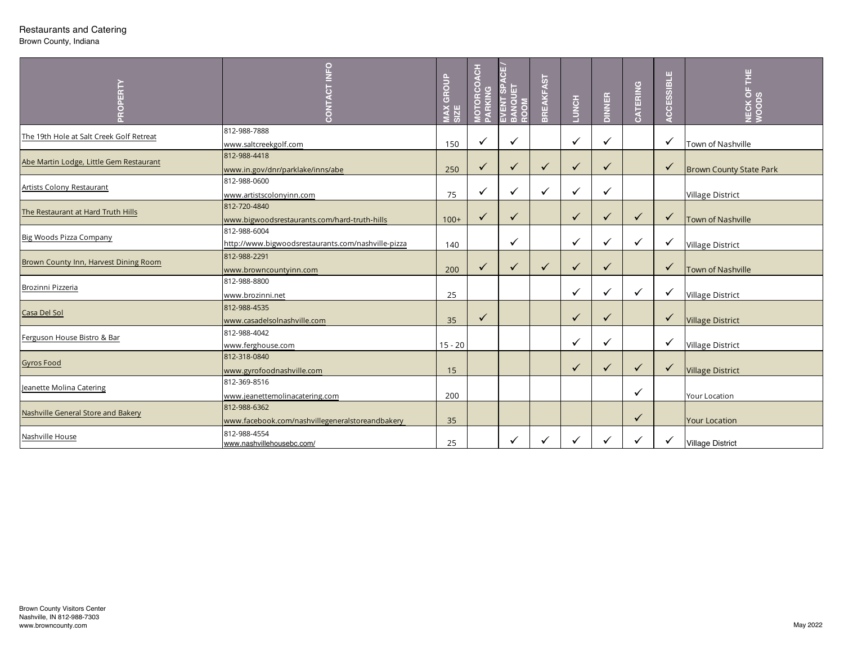## Restaurants and Catering

Brown County, Indiana

| PROPERTY                                                                                 | CT INFO<br>CONT                                                    | <b>MAX GROUP<br/>SIZE</b> | <b>MOTORCOACH</b><br>PARKING | ۳<br><b>SPA</b><br><b>ANQUET</b><br>EVENT<br><b>ROOM</b> | <b>BREAKFAST</b> | <b>LUNCH</b> | <b>DINNER</b> | CATERING     | ACCESSIBLE   | ECK OF THE<br>$\circ$<br>z |
|------------------------------------------------------------------------------------------|--------------------------------------------------------------------|---------------------------|------------------------------|----------------------------------------------------------|------------------|--------------|---------------|--------------|--------------|----------------------------|
| The 19th Hole at Salt Creek Golf Retreat                                                 | 812-988-7888<br>www.saltcreekgolf.com                              | 150                       | ✓                            | $\checkmark$                                             |                  | ✓            | ✓             |              | ✓            | Town of Nashville          |
| Abe Martin Lodge, Little Gem Restaurant                                                  | 812-988-4418<br>www.in.gov/dnr/parklake/inns/abe                   | 250                       | $\checkmark$                 | ✓                                                        | $\checkmark$     | ✓            | $\checkmark$  |              | $\checkmark$ | Brown County State Park    |
| Artists Colony Restaurant                                                                | 812-988-0600<br>www.artistscolonyinn.com                           | 75                        | ✓                            | $\checkmark$                                             | $\checkmark$     | ✓            | ✓             |              |              | <b>Village District</b>    |
| The Restaurant at Hard Truth Hills                                                       | 812-720-4840<br>www.bigwoodsrestaurants.com/hard-truth-hills       | $100+$                    | $\checkmark$                 | ✓                                                        |                  | ✓            | $\checkmark$  | $\checkmark$ | $\checkmark$ | Town of Nashville          |
| <b>Big Woods Pizza Company</b>                                                           | 812-988-6004<br>http://www.bigwoodsrestaurants.com/nashville-pizza | 140                       |                              | $\checkmark$                                             |                  | ✓            | $\checkmark$  | $\checkmark$ | $\checkmark$ | <b>Village District</b>    |
| Brown County Inn, Harvest Dining Room                                                    | 812-988-2291<br>www.browncountyinn.com                             | 200                       | $\checkmark$                 | ✓                                                        | $\checkmark$     | ✓            | $\checkmark$  |              | $\checkmark$ | Town of Nashville          |
| Brozinni Pizzeria                                                                        | 812-988-8800<br>www.brozinni.net                                   | 25                        |                              |                                                          |                  | $\checkmark$ | ✓             | $\checkmark$ | $\checkmark$ | <b>Village District</b>    |
| Casa Del Sol                                                                             | 812-988-4535<br>www.casadelsolnashville.com                        | 35                        | $\checkmark$                 |                                                          |                  | ✓            | $\checkmark$  |              | $\checkmark$ | <b>Village District</b>    |
| Ferguson House Bistro & Bar                                                              | 812-988-4042<br>www.ferghouse.com                                  | $15 - 20$                 |                              |                                                          |                  | ✓            | ✓             |              | $\checkmark$ | <b>Village District</b>    |
| <b>Gyros Food</b>                                                                        | 812-318-0840<br>www.gyrofoodnashville.com                          | 15                        |                              |                                                          |                  | ✓            | ✓             | $\checkmark$ | $\checkmark$ | <b>Village District</b>    |
| Jeanette Molina Catering                                                                 | 812-369-8516<br>www.jeanettemolinacatering.com                     | 200                       |                              |                                                          |                  |              |               | ✓            |              | Your Location              |
| Nashville General Store and Bakery                                                       | 812-988-6362<br>www.facebook.com/nashvillegeneralstoreandbakery    | 35                        |                              |                                                          |                  |              |               | ✓            |              | <b>Your Location</b>       |
| Nashville House                                                                          | 812-988-4554<br>www.nashvillehousebc.com/                          | 25                        |                              | $\checkmark$                                             | $\checkmark$     | ✓            | $\checkmark$  | $\checkmark$ | $\checkmark$ | <b>Village District</b>    |
| <b>Brown County Visitors Center</b><br>Nashville, IN 812-988-7303<br>www.browncounty.com |                                                                    |                           |                              |                                                          |                  |              |               |              |              | May 2022                   |